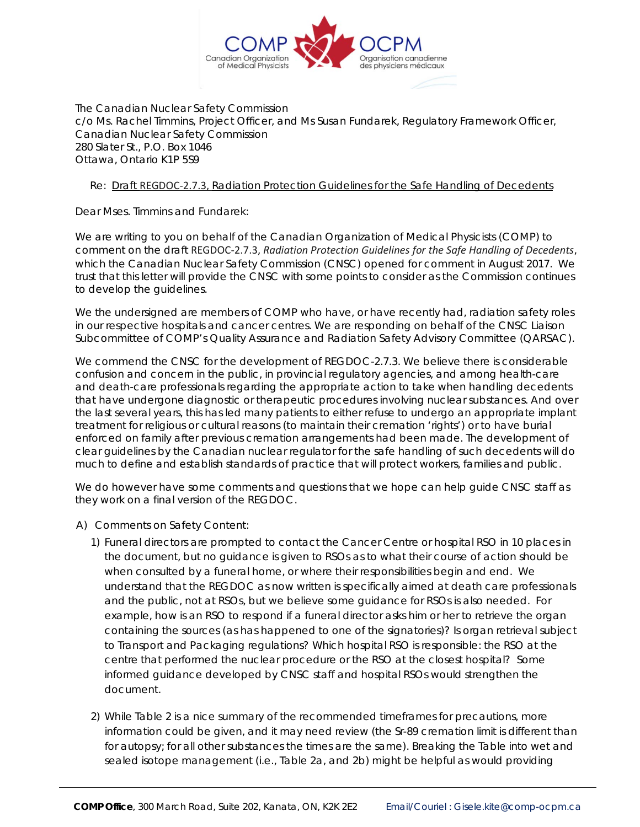

The Canadian Nuclear Safety Commission c/o Ms. Rachel Timmins, Project Officer, and Ms Susan Fundarek, Regulatory Framework Officer, Canadian Nuclear Safety Commission 280 Slater St., P.O. Box 1046 Ottawa, Ontario K1P 5S9

## Re: *Draft* REGDOC-2.7.3, *Radiation Protection Guidelines for the Safe Handling of Decedents*

Dear Mses. Timmins and Fundarek:

We are writing to you on behalf of the Canadian Organization of Medical Physicists (COMP) to comment on the draft REGDOC-2.7.3, *Radiation Protection Guidelines for the Safe Handling of Decedents*, which the Canadian Nuclear Safety Commission (CNSC) opened for comment in August 2017. We trust that this letter will provide the CNSC with some points to consider as the Commission continues to develop the guidelines.

We the undersigned are members of COMP who have, or have recently had, radiation safety roles in our respective hospitals and cancer centres. We are responding on behalf of the CNSC Liaison Subcommittee of COMP's Quality Assurance and Radiation Safety Advisory Committee (QARSAC).

We commend the CNSC for the development of REGDOC-2.7.3. We believe there is considerable confusion and concern in the public, in provincial regulatory agencies, and among health-care and death-care professionals regarding the appropriate action to take when handling decedents that have undergone diagnostic or therapeutic procedures involving nuclear substances. And over the last several years, this has led many patients to either refuse to undergo an appropriate implant treatment for religious or cultural reasons (to maintain their cremation 'rights') or to have burial enforced on family after previous cremation arrangements had been made. The development of clear guidelines by the Canadian nuclear regulator for the safe handling of such decedents will do much to define and establish standards of practice that will protect workers, families and public.

We do however have some comments and questions that we hope can help guide CNSC staff as they work on a final version of the REGDOC.

- A) Comments on Safety Content:
	- 1) Funeral directors are prompted to contact the Cancer Centre or hospital RSO in 10 places in the document, but no guidance is given to RSOs as to what their course of action should be when consulted by a funeral home, or where their responsibilities begin and end. We understand that the REGDOC as now written is specifically aimed at death care professionals and the public, not at RSOs, but we believe some guidance for RSOs is also needed. For example, how is an RSO to respond if a funeral director asks him or her to retrieve the organ containing the sources (as has happened to one of the signatories)? Is organ retrieval subject to Transport and Packaging regulations? Which hospital RSO is responsible: the RSO at the centre that performed the nuclear procedure or the RSO at the closest hospital? Some informed guidance developed by CNSC staff and hospital RSOs would strengthen the document.
	- 2) While Table 2 is a nice summary of the recommended timeframes for precautions, more information could be given, and it may need review (the Sr-89 cremation limit is different than for autopsy; for all other substances the times are the same). Breaking the Table into wet and sealed isotope management (i.e., Table 2a, and 2b) might be helpful as would providing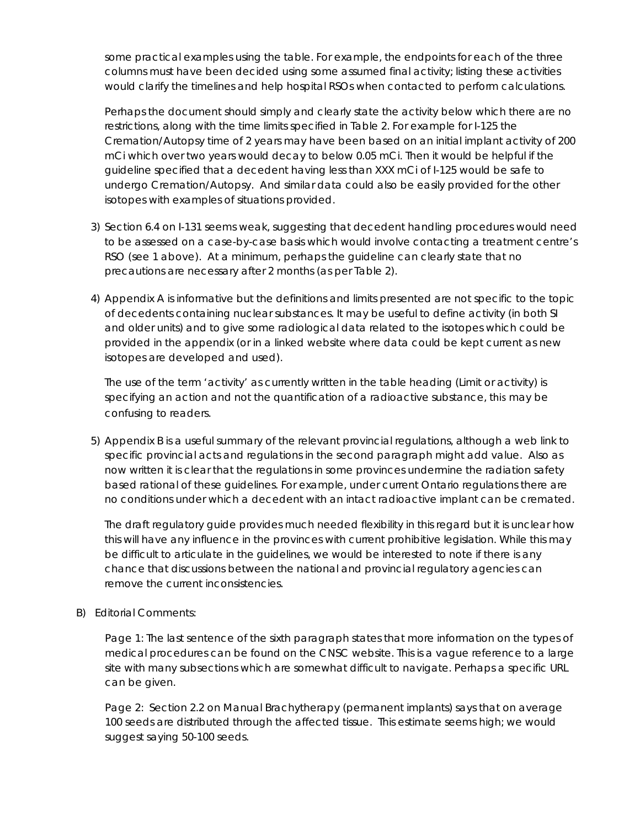some practical examples using the table. For example, the endpoints for each of the three columns must have been decided using some assumed final activity; listing these activities would clarify the timelines and help hospital RSOs when contacted to perform calculations.

Perhaps the document should simply and clearly state the activity below which there are no restrictions, along with the time limits specified in Table 2. For example for I-125 the Cremation/Autopsy time of 2 years may have been based on an initial implant activity of 200 mCi which over two years would decay to below 0.05 mCi. Then it would be helpful if the guideline specified that a decedent having less than XXX mCi of I-125 would be safe to undergo Cremation/Autopsy. And similar data could also be easily provided for the other isotopes with examples of situations provided.

- 3) Section 6.4 on I-131 seems weak, suggesting that decedent handling procedures would need to be assessed on a case-by-case basis which would involve contacting a treatment centre's RSO (see 1 above). At a minimum, perhaps the guideline can clearly state that no precautions are necessary after 2 months (as per Table 2).
- 4) Appendix A is informative but the definitions and limits presented are not specific to the topic of decedents containing nuclear substances. It may be useful to define activity (in both SI and older units) and to give some radiological data related to the isotopes which could be provided in the appendix (or in a linked website where data could be kept current as new isotopes are developed and used).

The use of the term '*activity'* as currently written in the table heading (Limit or activity) is specifying an *action* and not the quantification of a radioactive substance, this may be confusing to readers.

5) Appendix B is a useful summary of the relevant provincial regulations, although a web link to specific provincial acts and regulations in the second paragraph might add value. Also as now written it is clear that the regulations in some provinces undermine the radiation safety based rational of these guidelines. For example, under current Ontario regulations there are no conditions under which a decedent with an intact radioactive implant can be cremated.

The draft regulatory guide provides much needed flexibility in this regard but it is unclear how this will have any influence in the provinces with current prohibitive legislation. While this may be difficult to articulate in the guidelines, we would be interested to note if there is any chance that discussions between the national and provincial regulatory agencies can remove the current inconsistencies.

## B) Editorial Comments:

Page 1: The last sentence of the sixth paragraph states that more information on the types of medical procedures can be found on the CNSC website. This is a vague reference to a large site with many subsections which are somewhat difficult to navigate. Perhaps a specific URL can be given.

Page 2: Section 2.2 on Manual Brachytherapy (permanent implants) says that on average 100 seeds are distributed through the affected tissue. This estimate seems high; we would suggest saying 50-100 seeds.